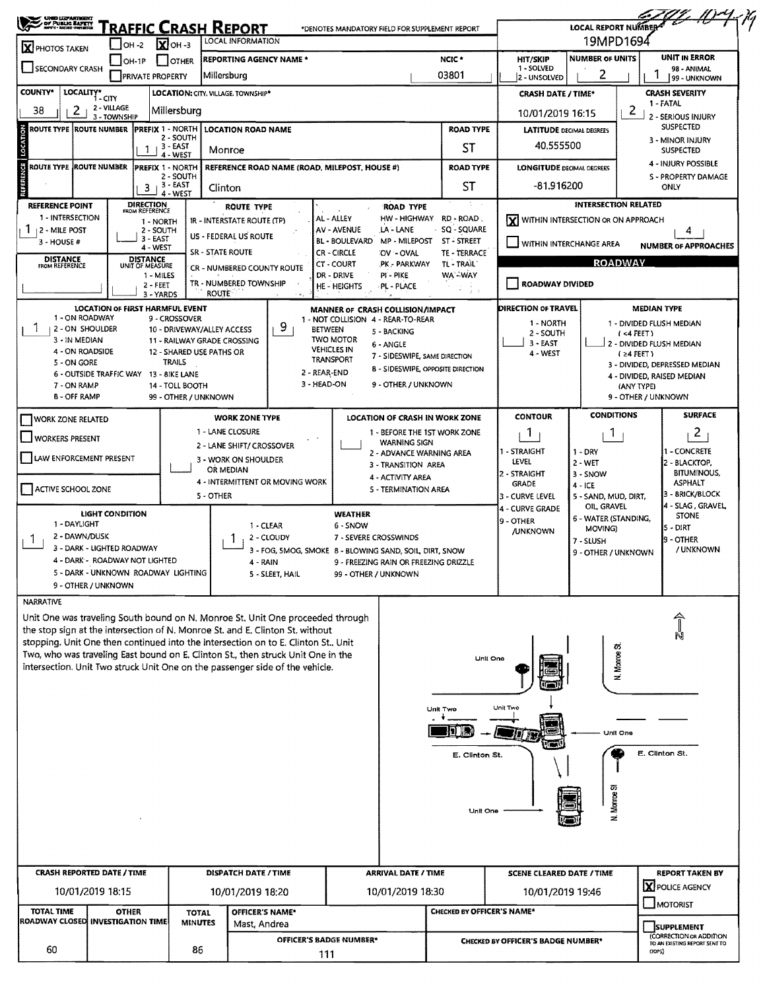| <b>X</b> PHOTOS TAKEN<br>SECONDARY CRASH<br><b>COUNTY*</b><br><b>LOCALITY*</b><br>2<br>38<br>ROUTE TYPE  ROUTE NUMBER<br>ROUTE TYPE ROUTE NUMBER | 1 - CITY<br>2 - VILLAGE<br>3 - TOWNSHIP | OH -2<br>OH-1P<br><b>PRIVATE PROPERTY</b><br>-1 | $\sum$ OH -3<br>I IOTHER<br>LOCATION: CITY. VILLAGE. TOWNSHIP*<br>Millersburg | LOCAL INFORMATION<br>Millersburg              | <b>REPORTING AGENCY NAME *</b>                                                                                                                                         |                                                         |                                                                    |                                             | <b>HIT/SKIP</b>                           | 19MPD1694<br><b>NUMBER OF UNITS</b>                                                                        |                                      | <b>UNIT IN ERROR</b>                                     |  |
|--------------------------------------------------------------------------------------------------------------------------------------------------|-----------------------------------------|-------------------------------------------------|-------------------------------------------------------------------------------|-----------------------------------------------|------------------------------------------------------------------------------------------------------------------------------------------------------------------------|---------------------------------------------------------|--------------------------------------------------------------------|---------------------------------------------|-------------------------------------------|------------------------------------------------------------------------------------------------------------|--------------------------------------|----------------------------------------------------------|--|
|                                                                                                                                                  |                                         |                                                 |                                                                               |                                               |                                                                                                                                                                        |                                                         |                                                                    |                                             |                                           |                                                                                                            |                                      |                                                          |  |
|                                                                                                                                                  |                                         |                                                 |                                                                               |                                               |                                                                                                                                                                        |                                                         |                                                                    | NCIC *<br>03801                             | 1 - SOLVED                                | 2                                                                                                          |                                      | 98 - ANIMAL                                              |  |
|                                                                                                                                                  |                                         |                                                 |                                                                               |                                               |                                                                                                                                                                        |                                                         |                                                                    |                                             | 2 - UNSOLVED<br><b>CRASH DATE / TIME*</b> |                                                                                                            |                                      | 99 - UNKNOWN<br><b>CRASH SEVERITY</b>                    |  |
|                                                                                                                                                  |                                         |                                                 |                                                                               |                                               |                                                                                                                                                                        |                                                         |                                                                    |                                             | 10/01/2019 16:15                          |                                                                                                            | 2                                    | 1 - FATAL                                                |  |
|                                                                                                                                                  |                                         |                                                 | <b>IPREFIX 1 - NORTH</b>                                                      | <b>LOCATION ROAD NAME</b>                     |                                                                                                                                                                        |                                                         | <b>ROAD TYPE</b><br>ST                                             |                                             |                                           | 2 - SERIOUS INJURY<br><b>SUSPECTED</b><br><b>LATITUDE DECIMAL DEGREES</b><br>3 - MINOR INJURY<br>40.555500 |                                      |                                                          |  |
|                                                                                                                                                  |                                         |                                                 | 2 - SOUTH<br>3 EAST                                                           | Monroe                                        |                                                                                                                                                                        |                                                         |                                                                    |                                             |                                           |                                                                                                            |                                      |                                                          |  |
|                                                                                                                                                  |                                         |                                                 | 4 - WEST<br>PREFIX 1 - NORTH                                                  |                                               |                                                                                                                                                                        | REFERENCE ROAD NAME (ROAD, MILEPOST, HOUSE #)           |                                                                    | <b>ROAD TYPE</b>                            | <b>LONGITUDE DECIMAL DEGREES</b>          |                                                                                                            |                                      | <b>SUSPECTED</b><br>4 - INJURY POSSIBLE                  |  |
|                                                                                                                                                  |                                         | 3                                               | 2 - SOUTH<br>3 - EAST                                                         |                                               |                                                                                                                                                                        |                                                         |                                                                    | ST                                          | -81.916200                                |                                                                                                            |                                      | S - PROPERTY DAMAGE<br><b>ONLY</b>                       |  |
| <b>REFERENCE POINT</b>                                                                                                                           |                                         |                                                 | 4 - WEST                                                                      | Clinton<br><b>ROUTE TYPE</b>                  |                                                                                                                                                                        |                                                         | ROAD TYPE                                                          |                                             |                                           | INTERSECTION RELATED                                                                                       |                                      |                                                          |  |
| 1 - INTERSECTION                                                                                                                                 |                                         | <b>DIRECTION</b><br>FROM REFERENCE<br>1 - NORTH |                                                                               | <b>IR - INTERSTATE ROUTE (TP)</b>             |                                                                                                                                                                        | AL - ALLEY                                              | HW - HIGHWAY                                                       | RD - ROAD                                   |                                           | WITHIN INTERSECTION OR ON APPROACH                                                                         |                                      |                                                          |  |
| $1 + 2 -$ MILE POST<br>$3 - HOUSE #$                                                                                                             |                                         | 2 - SOUTH<br>3 EAST                             |                                                                               | US - FEDERAL US ROUTE                         |                                                                                                                                                                        | <b>AV - AVENUE</b><br><b>BL - BOULEVARD</b>             | LA - LANE<br>MP - MILEPOST                                         | SQ - SQUARE<br>ST - STREET                  | VITHIN INTERCHANGE AREA                   |                                                                                                            |                                      | 4                                                        |  |
| <b>DISTANCE</b>                                                                                                                                  |                                         | 4 - WEST<br><b>DISTANCE</b>                     |                                                                               | <b>SR - STATE ROUTE</b>                       |                                                                                                                                                                        | CR - CIRCLE                                             | OV - OVAL                                                          | TE - TERRACE                                |                                           |                                                                                                            | <b>ROADWAY</b>                       | <b>NUMBER OF APPROACHES</b>                              |  |
| FROM REFERENCE                                                                                                                                   |                                         | UNIT OF MEASURE<br>1 - MILES                    |                                                                               |                                               | CR - NUMBERED COUNTY ROUTE                                                                                                                                             | <b>CT - COURT</b><br>DR - DRIVE                         | PK - PARKWAY<br>PI - PIKE                                          | TL - TRAIL<br>WA - WAY                      |                                           |                                                                                                            |                                      |                                                          |  |
|                                                                                                                                                  |                                         | 2 - FEET<br>3 - YARDS                           |                                                                               | TR - NUMBERED TOWNSHIP<br><b>ROUTE</b>        |                                                                                                                                                                        | HE - HEIGHTS                                            | PL - PLACE                                                         |                                             | <b>ROADWAY DIVIDED</b>                    |                                                                                                            |                                      |                                                          |  |
|                                                                                                                                                  |                                         |                                                 | <b>LOCATION OF FIRST HARMFUL EVENT</b>                                        |                                               |                                                                                                                                                                        | MANNER OF CRASH COLLISION/IMPACT                        |                                                                    |                                             | DIRECTION OF TRAVEL                       |                                                                                                            | <b>MEDIAN TYPE</b>                   |                                                          |  |
| 1 - ON ROADWAY<br>  2 - ON SHOULDER                                                                                                              |                                         |                                                 | 9 - CROSSOVER                                                                 | 10 - DRIVEWAY/ALLEY ACCESS                    | 9                                                                                                                                                                      | 1 - NOT COLLISION 4 - REAR-TO-REAR<br><b>BETWEEN</b>    | 5 - BACKING                                                        |                                             | 1 - NORTH<br>2 - SOUTH                    |                                                                                                            | (4FET)                               | 1 - DIVIDED FLUSH MEDIAN                                 |  |
| 3 - IN MEDIAN<br>4 - ON ROADSIDE                                                                                                                 |                                         |                                                 | 12 - SHARED USE PATHS OR                                                      | 11 - RAILWAY GRADE CROSSING                   |                                                                                                                                                                        | <b>TWO MOTOR</b><br><b>VEHICLES IN</b>                  | 6 - ANGLE                                                          |                                             | $3 - EAST$<br>4 - WEST                    |                                                                                                            | $(24$ FEET)                          | 2 - DIVIDED FLUSH MEDIAN                                 |  |
| 5 - ON GORE                                                                                                                                      |                                         |                                                 | TRAILS                                                                        |                                               |                                                                                                                                                                        | TRANSPORT<br>2 - REAR-END                               | 7 - SIDESWIPE, SAME DIRECTION<br>8 - SIDESWIPE, OPPOSITE DIRECTION |                                             |                                           |                                                                                                            |                                      | 3 - DIVIDED, DEPRESSED MEDIAN                            |  |
| 7 - ON RAMP                                                                                                                                      |                                         |                                                 | 6 - OUTSIDE TRAFFIC WAY 13 - BIKE LANE<br>14 - TOLL BOOTH                     |                                               |                                                                                                                                                                        | 3 - HEAD ON                                             | 9 - OTHER / UNKNOWN                                                |                                             |                                           |                                                                                                            | (ANY TYPE)                           | 4 - DIVIDED, RAISED MEDIAN                               |  |
| 8 - OFF RAMP                                                                                                                                     |                                         |                                                 | 99 - OTHER / UNKNOWN                                                          |                                               |                                                                                                                                                                        |                                                         |                                                                    |                                             |                                           |                                                                                                            | 9 - OTHER / UNKNOWN                  |                                                          |  |
| WORK ZONE RELATED                                                                                                                                |                                         |                                                 |                                                                               | <b>WORK ZONE TYPE</b>                         |                                                                                                                                                                        |                                                         | <b>LOCATION OF CRASH IN WORK ZONE</b>                              |                                             | <b>CONTOUR</b>                            | <b>CONDITIONS</b>                                                                                          |                                      | <b>SURFACE</b>                                           |  |
| <b>WORKERS PRESENT</b>                                                                                                                           |                                         |                                                 |                                                                               | 1 - LANE CLOSURE<br>2 - LANE SHIFT/ CROSSOVER |                                                                                                                                                                        |                                                         | 1 - BEFORE THE 1ST WORK ZONE<br><b>WARNING SIGN</b>                |                                             | 1                                         | 1                                                                                                          |                                      | 2                                                        |  |
| LAW ENFORCEMENT PRESENT                                                                                                                          |                                         |                                                 |                                                                               | 3 - WORK ON SHOULDER                          |                                                                                                                                                                        |                                                         | 2 - ADVANCE WARNING AREA<br>3 - TRANSITION AREA                    |                                             | 1 - STRAIGHT<br>LEVEL                     | $1 - DRY$<br>$2 - WET$                                                                                     |                                      | 1 - CONCRETE<br>2 - BLACKTOP,                            |  |
| OR MEDIAN<br>4 - INTERMITTENT OR MOVING WORK                                                                                                     |                                         |                                                 |                                                                               |                                               |                                                                                                                                                                        | 4 - ACTIVITY AREA                                       |                                                                    | 2 - STRAIGHT<br><b>GRADE</b>                | 3 - SNOW                                  |                                                                                                            | <b>BITUMINOUS,</b><br><b>ASPHALT</b> |                                                          |  |
| <b>ACTIVE SCHOOL ZONE</b>                                                                                                                        |                                         |                                                 |                                                                               | 5 - OTHER                                     |                                                                                                                                                                        |                                                         | 5 - TERMINATION AREA                                               |                                             | 3 - Curve Level                           | $4 - ICE$<br>5 - SAND, MUD, DIRT,                                                                          |                                      | 3 - 8RICK/BLOCK                                          |  |
|                                                                                                                                                  | <b>LIGHT CONDITION</b>                  |                                                 |                                                                               |                                               |                                                                                                                                                                        | <b>WEATHER</b>                                          |                                                                    |                                             | 4 - CURVE GRADE<br>9 - OTHER              | OIL GRAVEL<br>6 - WATER (STANDING,                                                                         |                                      | 4 - SLAG, GRAVEL<br><b>STONE</b>                         |  |
| 1 - DAYLIGHT<br>2 - DAWN/DUSK<br>T.                                                                                                              |                                         |                                                 |                                                                               |                                               | 1 - CLEAR<br>2 - CLOUDY                                                                                                                                                | 6 - SNOW<br>7 - SEVERE CROSSWINDS                       |                                                                    |                                             | <b>/UNKNOWN</b>                           | MOVING)<br>7 - SLUSH                                                                                       |                                      | $5 - DIRT$<br>9 - OTHER                                  |  |
|                                                                                                                                                  |                                         | 3 - DARK - LIGHTED ROADWAY                      |                                                                               |                                               |                                                                                                                                                                        | 3 - FOG, 5MOG, SMOKE 8 - BLOWING SAND, SOIL, DIRT, SNOW |                                                                    |                                             |                                           | 9 - OTHER / UNKNOWN                                                                                        |                                      | / UNKNOWN                                                |  |
|                                                                                                                                                  |                                         | 4 - DARK - ROADWAY NOT LIGHTED                  | 5 - DARK - UNKNOWN ROADWAY LIGHTING                                           |                                               | 4 - RAIN<br>5 - SLEET, HAIL                                                                                                                                            | 99 - OTHER / UNKNOWN                                    | 9 - FREEZING RAIN OR FREEZING DRIZZLE                              |                                             |                                           |                                                                                                            |                                      |                                                          |  |
| 9 - OTHER / UNKNOWN                                                                                                                              |                                         |                                                 |                                                                               |                                               |                                                                                                                                                                        |                                                         |                                                                    |                                             |                                           |                                                                                                            |                                      |                                                          |  |
| <b>NARRATIVE</b>                                                                                                                                 |                                         |                                                 |                                                                               |                                               | Unit One was traveling South bound on N. Monroe St. Unit One proceeded through                                                                                         |                                                         |                                                                    |                                             |                                           |                                                                                                            |                                      |                                                          |  |
|                                                                                                                                                  |                                         |                                                 |                                                                               |                                               | the stop sign at the intersection of N. Monroe St. and E. Clinton St. without                                                                                          |                                                         |                                                                    |                                             |                                           |                                                                                                            |                                      |                                                          |  |
|                                                                                                                                                  |                                         |                                                 |                                                                               |                                               | stopping. Unit One then continued into the intersection on to E. Clinton St., Unit<br>Two, who was traveling East bound on E. Clinton St., then struck Unit One in the |                                                         |                                                                    |                                             |                                           |                                                                                                            |                                      |                                                          |  |
|                                                                                                                                                  |                                         |                                                 |                                                                               |                                               | intersection. Unit Two struck Unit One on the passenger side of the vehicle.                                                                                           |                                                         |                                                                    | Unit One                                    |                                           | N. Morroe St                                                                                               |                                      |                                                          |  |
|                                                                                                                                                  |                                         |                                                 |                                                                               |                                               |                                                                                                                                                                        |                                                         |                                                                    |                                             |                                           |                                                                                                            |                                      |                                                          |  |
|                                                                                                                                                  |                                         |                                                 |                                                                               |                                               |                                                                                                                                                                        |                                                         |                                                                    | Unk Two                                     | Unit Two                                  |                                                                                                            |                                      |                                                          |  |
|                                                                                                                                                  |                                         |                                                 |                                                                               |                                               |                                                                                                                                                                        |                                                         |                                                                    |                                             |                                           |                                                                                                            |                                      |                                                          |  |
|                                                                                                                                                  |                                         |                                                 |                                                                               |                                               |                                                                                                                                                                        |                                                         |                                                                    | TI II.                                      |                                           | Unit One                                                                                                   |                                      |                                                          |  |
|                                                                                                                                                  |                                         |                                                 |                                                                               |                                               |                                                                                                                                                                        |                                                         |                                                                    | E. Clinton St.                              |                                           |                                                                                                            |                                      | E. Clinton St.                                           |  |
|                                                                                                                                                  |                                         |                                                 |                                                                               |                                               |                                                                                                                                                                        |                                                         |                                                                    |                                             |                                           |                                                                                                            |                                      |                                                          |  |
|                                                                                                                                                  |                                         |                                                 |                                                                               |                                               |                                                                                                                                                                        |                                                         |                                                                    |                                             |                                           | N. Monroe St                                                                                               |                                      |                                                          |  |
|                                                                                                                                                  |                                         |                                                 |                                                                               |                                               |                                                                                                                                                                        |                                                         |                                                                    | <b>Unit One</b>                             |                                           |                                                                                                            |                                      |                                                          |  |
|                                                                                                                                                  |                                         |                                                 |                                                                               |                                               |                                                                                                                                                                        |                                                         |                                                                    |                                             |                                           |                                                                                                            |                                      |                                                          |  |
|                                                                                                                                                  |                                         |                                                 |                                                                               |                                               |                                                                                                                                                                        |                                                         |                                                                    |                                             |                                           |                                                                                                            |                                      |                                                          |  |
| <b>CRASH REPORTED DATE / TIME</b>                                                                                                                |                                         |                                                 |                                                                               | DISPATCH DATE / TIME                          |                                                                                                                                                                        |                                                         | <b>ARRIVAL DATE / TIME</b>                                         |                                             | <b>SCENE CLEARED DATE / TIME</b>          |                                                                                                            |                                      | <b>REPORT TAKEN BY</b>                                   |  |
| 10/01/2019 18:15                                                                                                                                 |                                         |                                                 |                                                                               | 10/01/2019 18:20                              |                                                                                                                                                                        |                                                         | 10/01/2019 18:30                                                   |                                             | 10/01/2019 19:46                          |                                                                                                            |                                      | <b>X</b> POLICE AGENCY                                   |  |
| TOTAL TIME                                                                                                                                       |                                         | <b>OTHER</b>                                    | <b>TOTAL</b>                                                                  |                                               | OFFICER'S NAME*                                                                                                                                                        |                                                         |                                                                    | <b>CHECKED BY OFFICER'S NAME*</b>           |                                           |                                                                                                            |                                      | <b>MOTORIST</b>                                          |  |
| ROADWAY CLOSED INVESTIGATION TIME                                                                                                                |                                         |                                                 | <b>MINUTES</b>                                                                |                                               | Mast, Andrea                                                                                                                                                           |                                                         |                                                                    |                                             |                                           |                                                                                                            |                                      | <b>SUPPLEMENT</b>                                        |  |
| 60                                                                                                                                               |                                         |                                                 | 86                                                                            |                                               |                                                                                                                                                                        | <b>OFFICER'S BADGE NUMBER*</b>                          |                                                                    | CHECKED BY OFFICER'S BADGE NUMBER*<br>ODPS) |                                           |                                                                                                            |                                      | (CORRECTION OR ADDITION<br>TO AN EXISTING REPORT SENT TO |  |
|                                                                                                                                                  |                                         |                                                 |                                                                               |                                               |                                                                                                                                                                        | 111                                                     |                                                                    |                                             |                                           |                                                                                                            |                                      |                                                          |  |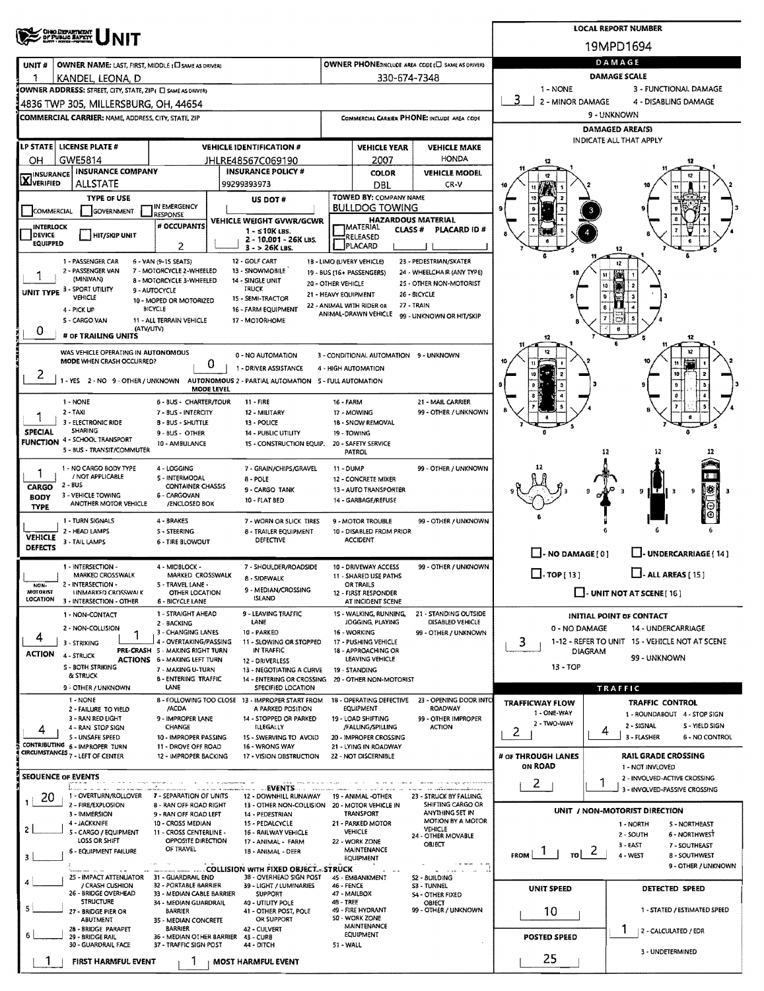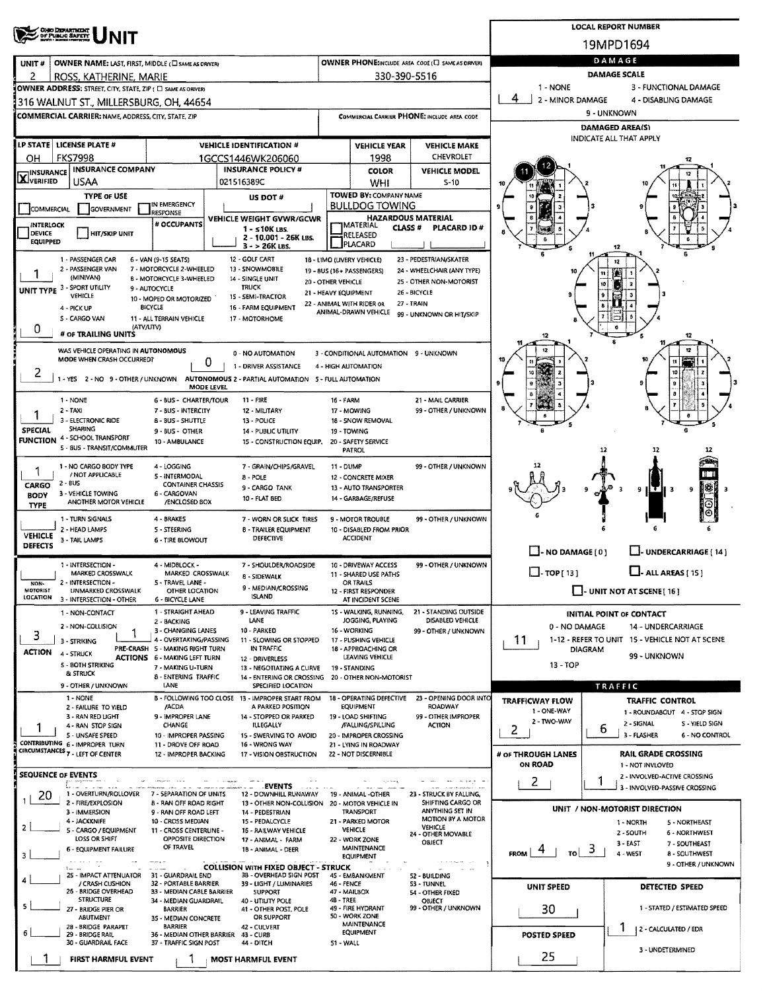|                                                                                                                                                                           |                      |                                                                 |                                                           |                            | <b>LOCAL REPORT NUMBER</b>                                           |
|---------------------------------------------------------------------------------------------------------------------------------------------------------------------------|----------------------|-----------------------------------------------------------------|-----------------------------------------------------------|----------------------------|----------------------------------------------------------------------|
| ONO DEPARTMENT<br>OF PUBLIC SAFETY                                                                                                                                        |                      |                                                                 |                                                           |                            | 19MPD1694                                                            |
| UNIT#<br>OWNER NAME: LAST, FIRST, MIDDLE (E) SAME AS DRIVER)                                                                                                              |                      |                                                                 | OWNER PHONE: INCLUDE AREA CODE (L) SAME AS DRIVER)        |                            | DAMAGE                                                               |
| 2<br>ROSS, KATHERINE, MARIE<br>OWNER ADDRESS: STREET, CITY, STATE, ZIP ( C) SAME AS ORIVERY                                                                               |                      | 330-390-5516                                                    |                                                           | 1 - NONE                   | <b>DAMAGE SCALE</b><br>3 - FUNCTIONAL DAMAGE                         |
| 1316 WALNUT ST., MILLERSBURG, OH, 44654                                                                                                                                   |                      |                                                                 |                                                           | 4<br>2 - MINOR DAMAGE      | 4 - DISABLING DAMAGE                                                 |
| <b>COMMERCIAL CARRIER: NAME, ADDRESS, CITY, STATE, ZIP</b>                                                                                                                |                      |                                                                 | COMMERCIAL CARRIER PHONE; INCLUDE AREA CODE               |                            | 9 - UNKNOWN                                                          |
|                                                                                                                                                                           |                      |                                                                 |                                                           |                            | DAMAGED AREA(S)<br>INDICATE ALL THAT APPLY                           |
| LP STATE   LICENSE PLATE #<br><b>VEHICLE IDENTIFICATION #</b><br><b>FKS7998</b><br>ОН<br>1GCCS1446WK206060                                                                |                      | <b>VEHICLE YEAR</b><br>1998                                     | <b>VEHICLE MAKE</b><br><b>CHEVROLET</b>                   |                            |                                                                      |
| <b>INSURANCE COMPANY</b><br><b>INSURANCE POLICY #</b><br><b>INSURANCE</b>                                                                                                 |                      | <b>COLOR</b>                                                    | <b>VEHICLE MODEL</b>                                      |                            |                                                                      |
| XVERIFIED<br>USAA<br>021516389C                                                                                                                                           |                      | WHI                                                             | $S-10$                                                    |                            |                                                                      |
| TYPE OF USE<br>US DOT #<br>IN EMERGENCY<br>COMMERCIAL<br><b>GOVERNMENT</b>                                                                                                |                      | TOWED BY: COMPANY NAME<br><b>BULLDOG TOWING</b>                 |                                                           |                            |                                                                      |
| RESPONSE<br><b>VEHICLE WEIGHT GVWR/GCWR</b><br># OCCUPANTS<br>INTERLOCK                                                                                                   |                      | <b>HAZARDOUS MATERIAL</b><br><b>IMATERIAL</b><br><b>CLASS #</b> | PLACARD ID#                                               |                            |                                                                      |
| $1 - 510K$ LBS.<br><b>DEVICE</b><br>  HIT/SKIP UNIT<br>2 - 10.001 - 26K LBS.<br><b>EQUIPPED</b><br>3 - > 26K LBS.                                                         |                      | RELEASED<br>PLACARD                                             |                                                           |                            |                                                                      |
| 1 - PASSENGER CAR<br>6 - VAN (9-15 SEATS)<br>12 - GOLF CART                                                                                                               |                      | 18 - LIMO (LIVERY VEHICLE)                                      | 23 - PEDESTRIAN/SKATER                                    |                            | 12                                                                   |
| 2 - PASSENGER VAN<br>7 - MOTORCYCLE 2-WHEELED<br>13 - SNOWMOBILE<br>(MINIVAN)<br><b>B - MOTORCYCLE 3-WHEELED</b><br>14 - SINGLE UNIT                                      | 20 - OTHER VEHICLE   | 19 - 8US (16+ PASSENGERS)                                       | 24 - WHEELCHAIR (ANY TYPE)<br>25 - OTHER NON-MOTORIST     |                            |                                                                      |
| UNIT TYPE 3 - SPORT UTILITY<br>TRUCK<br>9 - AUTOCYCLE<br>VEHICLE<br>15 - SEMI-TRACTOR<br>10 - MOPED OR MOTORIZED                                                          | 21 - HEAVY EQUIPMENT |                                                                 | 26 - BICYCLE                                              |                            | 10                                                                   |
| <b>BICYCLE</b><br>16 - FARM EQUIPMENT<br>4 - PICK UP                                                                                                                      |                      | 22 - ANIMAL WITH RIDER OR<br>ANIMAL-DRAWN VEHICLE               | 27 - TRAIN<br>99 - UNKNOWN OR HIT/SKIP                    |                            |                                                                      |
| S - CARGO VAN<br>11 - ALL TERRAIN VEHICLE<br>17 - MOTORHOME<br>(ATV/UTV)<br>0<br># OF TRAILING UNITS                                                                      |                      |                                                                 |                                                           |                            |                                                                      |
| WAS VEHICLE OPERATING IN AUTONOMOUS<br>0 - NO AUTOMATION                                                                                                                  |                      | 3 - CONDITIONAL AUTOMATION 9 - UNKNOWN                          |                                                           |                            | 12                                                                   |
| MODE WHEN CRASH OCCURRED?<br>0<br>1 - DRIVER ASSISTANCE                                                                                                                   |                      | 4 - HIGH AUTOMATION                                             |                                                           |                            |                                                                      |
| 2<br>1 - YES 2 - NO 9 - OTHER / UNKNOWN AUTONOMOUS 2 - PARTIAL AUTOMATION 5 - FULL AUTOMATION<br>MODE LEVEL                                                               |                      |                                                                 |                                                           |                            |                                                                      |
| 1 NONE<br>6 - BUS - CHARTER/TOUR<br>11 - FIRE                                                                                                                             | 16 - FARM            |                                                                 | 21 - MAIL CARRIER                                         |                            |                                                                      |
| $2 - TAXI$<br>7 - BUS - INTERCITY<br>12 - MILITARY<br>3 - ELECTRONIC RIDE<br><b>B-BUS-SHUTTLE</b><br>13 - POLICE                                                          |                      | 17 - MOWING<br>18 - SNOW REMOVAL                                | 99 - OTHER / UNKNOWN                                      |                            |                                                                      |
| <b>SHARING</b><br><b>SPECIAL</b><br>9 - BUS - OTHER<br>14 - PUBLIC UTILITY<br><b>FUNCTION 4 - SCHOOL TRANSPORT</b>                                                        |                      | 19 - TOWING                                                     |                                                           |                            |                                                                      |
| 10 - AMBULANCE<br>15 - CONSTRUCTION EQUIP.<br>5 - BUS - TRANSIT/COMMUTER                                                                                                  |                      | 20 - SAFETY SERVICE<br><b>PATROL</b>                            |                                                           |                            | 12<br>12                                                             |
| 1 - NO CARGO BODY TYPE<br>4 - LOGGING<br>7 - GRAIN/CHIPS/GRAVEL<br>1<br>/ NOT APPLICABLE<br>5 - INTERMODAL                                                                | 11 - DUMP            |                                                                 | 99 - OTHER / UNKNOWN                                      |                            | ПU                                                                   |
| $8 - POLE$<br>$2 - BUS$<br>CARGO<br><b>CONTAINER CHASSIS</b><br>9 - CARGO TANK<br>3 - VEHICLE TOWING<br>6 - CARGOVAN                                                      |                      | 12 - CONCRETE MIXER<br>13 - AUTO TRANSPORTER                    |                                                           |                            | 9<br>3<br>$9$ IT II<br>Е<br>-3                                       |
| <b>BODY</b><br>10 - FLAT BED<br>ANOTHER MOTOR VEHICLE<br>/ENCLOSED BOX<br><b>TYPE</b>                                                                                     |                      | 14 - GARBAGE/REFUSE                                             |                                                           |                            |                                                                      |
| 4 - BRAKES<br>1 - TURN SIGNALS<br>7 - WORN OR SLICK TIRES<br>2 - HEAD LAMPS<br>5 - STEERING<br><b>B - TRAILER EQUIPMENT</b>                                               |                      | 9 - MOTOR TROUBLE<br>10 - DISABLED FROM PRIOR                   | 99 - OTHER / UNKNOWN                                      |                            |                                                                      |
| VEHICLE<br><b>DEFECTIVE</b><br>3 - TAIL LAMPS<br>6 - TIRE BLOWOUT<br>DEFECTS                                                                                              |                      | <b>ACCIDENT</b>                                                 |                                                           |                            |                                                                      |
| 1 - INTERSECTION -<br>4 - MIDBLOCK -<br>7 - SHOULDER/ROADSIDE                                                                                                             |                      | 10 - DRIVEWAY ACCESS                                            | 99 - OTHER / UNKNOWN                                      | $\Box$ - NO DAMAGE [ 0 ]   | U-UNDERCARRIAGE [14]                                                 |
| MARKED CROSSWALK<br>MARKED CROSSWALK<br><b>B-SIDEWALK</b><br>2 - INTERSECTION -<br>5 - TRAVEL LANE -<br>NON-                                                              |                      | 11 - SHARED USE PATHS<br>OR TRAILS                              |                                                           | $\Box$ - TOP [ 13 ]        | $\Box$ - ALL AREAS [ 15 ]                                            |
| 9 - MEDIAN/CROSSING<br><b>MOTORIST</b><br>UNMARKED CROSSWALK<br>OTHER LOCATION<br><b>ISLAND</b><br><b>LOCATION</b><br>3 - INTERSECTION - OTHER<br>6 - BICYCLE LANE        |                      | 12 - FIRST RESPONDER<br>AT INCIDENT SCENE                       |                                                           |                            | I - UNIT NOT AT SCENE [ 16 ]                                         |
| 9 - LEAVING TRAFFIC<br>1 - STRAIGHT AHEAD<br>1 - NON-CONTACT<br>LANE<br>2 - BACKING                                                                                       |                      | 15 - WALKING, RUNNING,<br>JOGGING, PLAYING                      | 21 - STANDING OUTSIDE<br>DISABLED VEHICLE                 |                            | INITIAL POINT OF CONTACT                                             |
| 2 - NON-COLLISION<br>3 - CHANGING LANES<br>10 - PARKED<br>з<br>4 - OVERTAKING/PASSING<br>11 - SLOWING OR STOPPED<br>3 - STRIKING                                          |                      | 16 - WORKING<br>17 - PUSHING VEHICLE                            | 99 - OTHER / UNKNOWN                                      | 0 - NO DAMAGE<br>11        | 14 - UNDERCARRIAGE<br>1-12 - REFER TO UNIT 15 - VEHICLE NOT AT SCENE |
| IN TRAFFIC<br>PRE-CRASH 5 - MAKING RIGHT TURN<br><b>ACTION</b><br>4 - STRUCK<br><b>ACTIONS 6 - MAKING LEFT TURN</b><br>12 - DRIVERLESS                                    |                      | 18 - APPROACHING OR<br>LEAVING VEHICLE                          |                                                           | <b>DIAGRAM</b>             | 99 - UNKNOWN                                                         |
| 5 - 80TH STRIKING<br>7 - MAKING U-TURN<br>13 - NEGOTIATING A CURVE<br>& STRUCK                                                                                            |                      | 19 - STANDING                                                   |                                                           | 13 - TOP                   |                                                                      |
| 8 - ENTERING TRAFFIC<br>14 - ENTERING OR CROSSING 20 - OTHER NON-MOTORIST<br>LANE<br>9 - OTHER / UNKNOWN<br>SPECIFIED LOCATION                                            |                      |                                                                 |                                                           |                            | TRAFFIC                                                              |
| 1 - NONE<br>B - FOLLOWING TOO CLOSE 13 - IMPROPER START FROM<br>A PARKED POSITION<br>/ACDA<br>2 - FAILURE TO YIELD                                                        |                      | 18 - OPERATING DEFECTIVE<br><b>EQUIPMENT</b>                    | 23 - OPENING DOOR INTO<br><b>ROADWAY</b>                  | <b>TRAFFICWAY FLOW</b>     | <b>TRAFFIC CONTROL</b>                                               |
| 3 - RAN RED UGHT<br>9 - IMPROPER LANE<br>14 - STOPPED OR PARKED<br>CHANGE<br><b>ILLEGALLY</b><br>4 - RAN STOP SIGN                                                        |                      | 19 - LOAD SHIFTING<br>/FALLING/SPILLING                         | 99 - OTHER IMPROPER<br><b>ACTION</b>                      | 1 - ONE-WAY<br>2 - TWO-WAY | 1 - ROUNDABOUT 4 - STOP SIGN<br>2 - SIGNAL<br>S - YIELD SIGN         |
| 5 - UNSAFE SPEED<br>10 - IMPROPER PASSING<br>15 - SWERVING TO AVOID<br>CONTRIBUTING 6 - IMPROPER TURN<br>11 - DROVE OFF ROAD<br>16 - WRONG WAY                            |                      | 20 - IMPROPER CROSSING<br>21 - LYING IN ROADWAY                 |                                                           | 2                          | 6<br>3 - FLASHER<br>6 - NO CONTROL                                   |
| CIRCUMSTANCES 7 - LEFT OF CENTER<br>12 - IMPROPER BACKING<br>17 - VISION OBSTRUCTION                                                                                      |                      | 22 - NOT DISCERNIBLE                                            |                                                           | # OF THROUGH LANES         | RAIL GRADE CROSSING                                                  |
| <b>SEQUENCE OF EVENTS</b>                                                                                                                                                 |                      |                                                                 | www.com/garet.com                                         | ON ROAD<br>2.              | 1 - NOT INVLOVED<br>2 - INVOLVED-ACTIVE CROSSING<br>1                |
| <b>EVENTS</b><br>1 - OVERTURN/ROLLOVER<br>20<br>7 - SEPARATION OF UNITS<br>12 - DOWNHILL RUNAWAY<br>1                                                                     |                      | 19 - ANIMAL -OTHER                                              | 23 - STRUCK BY FALLING,                                   |                            | 3 - INVOLVED-PASSIVE CROSSING                                        |
| 2 - FIRE/EXPLOSION<br>8 - RAN OFF ROAD RIGHT<br>13 - OTHER NON-COLLISION 20 - MOTOR VEHICLE IN<br>3 - IMMERSION<br>9 - RAN OFF ROAD LEFT<br>14 - PEDESTRIAN               |                      | <b>TRANSPORT</b>                                                | <b>SHIFTING CARGO OR</b><br>ANYTHING SET IN               |                            | UNIT / NON-MOTORIST DIRECTION                                        |
| 4 - JACKKNIFE<br>10 - CROSS MEDIAN<br>15 - PEDALCYCLE<br>$\mathbf{2}$<br>5 - CARGO / EQUIPMENT<br>11 - CROSS CENTERLINE -<br>16 - RAILWAY VEHICLE                         |                      | 21 - PARKED MOTOR<br>VEHICLE                                    | <b>MOTION BY A MOTOR</b><br>VEHICLE<br>24 - OTHER MOVABLE |                            | 1 - NORTH<br>5 - NORTHEAST<br>2 - SOUTH<br><b>6 - NORTHWEST</b>      |
| LOSS OR SHIFT<br>OPPOSITE DIRECTION<br>17 - ANIMAL - FARM<br>OF TRAVEL<br><b>6 - EQUIPMENT FAILURE</b><br>18 - ANIMAL - DEER                                              |                      | 22 - WORK ZONE<br>MAINTENANCE                                   | OBJECT                                                    | з<br><b>FROM</b><br>TO I   | 3 - EAST<br>7 - SOUTHEAST                                            |
| 3<br><b>COLLISION WITH FIXED OBJECT - STRUCK</b><br>$1 - 1$                                                                                                               |                      | <b>EQUIPMENT</b>                                                | مرزان وواوره وبالداردة<br>$\sim$ 100                      |                            | 4 - WEST<br>8 - SOUTHWEST<br>9 - OTHER / UNKNOWN                     |
| 3B - OVERHEAD SIGN POST<br>25 - IMPACT ATTENUATOR<br>31 - GUARDRAIL END<br>4<br>/ CRASH CUSHION<br>39 - LIGHT / LUMINARIES<br>32 - PORTABLE BARRIER                       | 46 - FENCE           | 45 - EMBANKMENT                                                 | 52 - BUILDING<br>53 - TUNNEL                              | UNIT SPEED                 | DETECTED SPEED                                                       |
| 26 - BRIDGE OVERHEAD<br>33 - MEDIAN CABLE BARRIER<br><b>SUPPORT</b><br><b>STRUCTURE</b><br>34 - MEDIAN GUARDRAIL<br>40 - UTILITY POLE<br>5.                               | 4B - TREE            | 47 - MAILBOX                                                    | 54 - OTHER FIXED<br>OBJECT                                |                            |                                                                      |
| 27 - BRIDGE PIER OR<br><b>BARRIER</b><br>41 - OTHER POST, POLE<br>OR SUPPORT<br><b>ABUTMENT</b><br>35 - MEDIAN CONCRETE                                                   |                      | 49 - FIRE HYDRANT<br>50 - WORK ZONE<br>MAINTENANCE              | 99 - OTHER / UNKNOWN                                      | 30                         | 1 - STATED / ESTIMATED SPEED                                         |
| 28 - BRIDGE PARAPET<br><b>BARRIER</b><br>42 - CULVERT<br>6<br>29 - BRIDGE RAIL<br>36 - MEDIAN OTHER BARRIER<br>43 - CURB<br>30 - GUARDRAIL FACE<br>37 - TRAFFIC SIGN POST |                      | <b>EQUIPMENT</b>                                                |                                                           | <b>POSTED SPEED</b>        | 1<br>2 - CALCULATED / EDR                                            |
| 44 - DITCH<br>FIRST HARMFUL EVENT<br><b>MOST HARMFUL EVENT</b>                                                                                                            | 51 WALL              |                                                                 |                                                           | 25                         | 3 - UNDETERMINED                                                     |
|                                                                                                                                                                           |                      |                                                                 |                                                           |                            |                                                                      |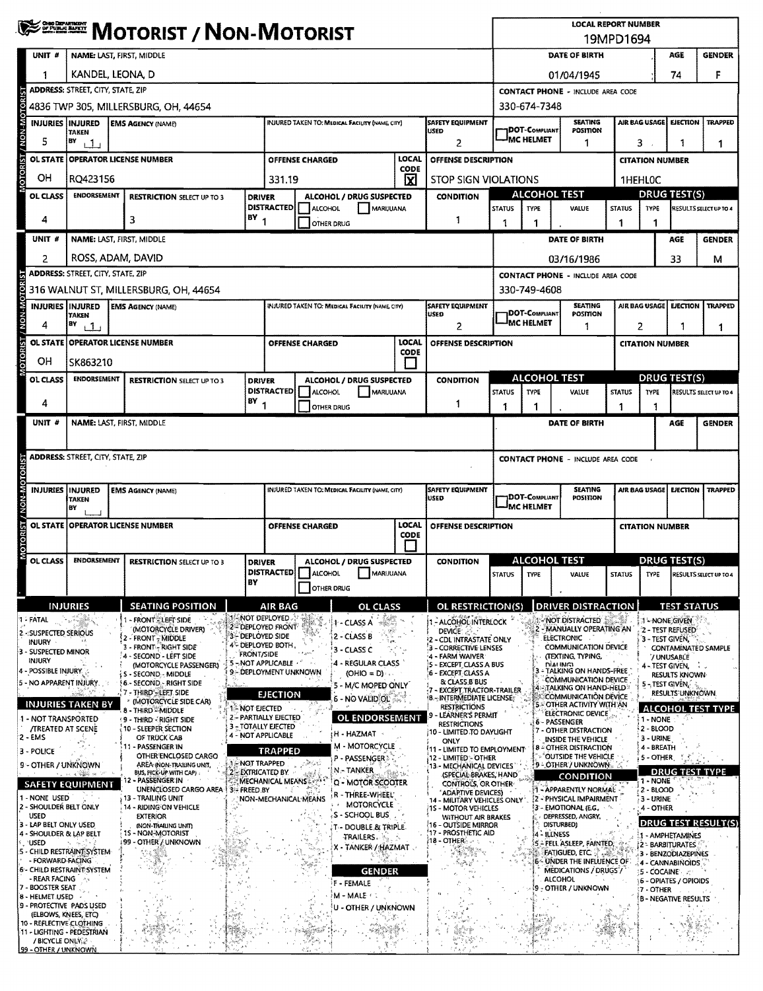|                                |                                                  |                                          |  | <sup>≸222</sup> ™ Motorist / Non-Motorist                                 |            |                                                                                           |                                                                                   |                                                 |             |                                                                           |                                                     |                                                |                                                                            | <b>LOCAL REPORT NUMBER</b><br>19MPD1694             |                                       |                                         |                                    |
|--------------------------------|--------------------------------------------------|------------------------------------------|--|---------------------------------------------------------------------------|------------|-------------------------------------------------------------------------------------------|-----------------------------------------------------------------------------------|-------------------------------------------------|-------------|---------------------------------------------------------------------------|-----------------------------------------------------|------------------------------------------------|----------------------------------------------------------------------------|-----------------------------------------------------|---------------------------------------|-----------------------------------------|------------------------------------|
|                                | UNIT #                                           |                                          |  | NAME: LAST, FIRST, MIDDLE                                                 |            |                                                                                           |                                                                                   |                                                 |             |                                                                           | DATE OF BIRTH                                       |                                                |                                                                            |                                                     |                                       | AGE                                     | <b>GENDER</b>                      |
|                                |                                                  | KANDEL, LEONA, D                         |  |                                                                           |            |                                                                                           |                                                                                   |                                                 |             |                                                                           | 01/04/1945                                          |                                                |                                                                            |                                                     |                                       | 74                                      | F                                  |
|                                |                                                  | <b>ADDRESS: STREET, CITY, STATE, ZIP</b> |  |                                                                           |            |                                                                                           |                                                                                   |                                                 |             |                                                                           |                                                     | <b>CONTACT PHONE - INCLUDE AREA CODE</b>       |                                                                            |                                                     |                                       |                                         |                                    |
|                                |                                                  |                                          |  | 4836 TWP 305, MILLERSBURG, OH, 44654                                      |            |                                                                                           |                                                                                   |                                                 |             |                                                                           |                                                     | 330-674-7348                                   |                                                                            |                                                     |                                       |                                         |                                    |
|                                | <b>INJURIES INJURED</b>                          | TAKEN                                    |  | <b>EMS AGENCY (NAME)</b>                                                  |            |                                                                                           | SAFETY EQUIPMENT<br><b>INJURED TAKEN TO: MEDICAL FACILITY (NAME CITY)</b><br>USED |                                                 |             |                                                                           | <b>SEATING</b><br>7DOT-Compliant<br>POSITION        |                                                |                                                                            |                                                     | AIR BAG USAGE<br><b>EJECTION</b>      |                                         | <b>TRAPPED</b>                     |
|                                | 5                                                | BY<br>1 <sub>1</sub>                     |  |                                                                           |            |                                                                                           | 2                                                                                 |                                                 |             |                                                                           | <b>IMC HELMET</b><br>1                              |                                                |                                                                            |                                                     | 3.<br>1<br>1                          |                                         |                                    |
| <b>MOTORIST / NON-MOTORIST</b> | <b>OL STATE</b>                                  |                                          |  | OPERATOR LICENSE NUMBER                                                   |            |                                                                                           | LOCAL<br><b>OFFENSE CHARGED</b><br>CODE                                           |                                                 |             | OFFENSE DESCRIPTION                                                       |                                                     |                                                |                                                                            |                                                     | <b>CITATION NUMBER</b>                |                                         |                                    |
|                                | OН                                               | RQ423156                                 |  |                                                                           |            |                                                                                           | ⊠<br>331.19                                                                       |                                                 |             |                                                                           | <b>STOP SIGN VIOLATIONS</b>                         |                                                |                                                                            | 1HEHL0C                                             |                                       |                                         |                                    |
|                                | OL CLASS                                         | <b>ENDORSEMENT</b>                       |  | <b>RESTRICTION SELECT UP TO 3</b>                                         |            | <b>DRIVER</b><br><b>DISTRACTED</b>                                                        | <b>ALCOHOL</b>                                                                    | ALCOHOL / DRUG SUSPECTED<br>MARIJUANA           |             | <b>CONDITION</b>                                                          | <b>ALCOHOL TEST</b><br><b>TYPE</b><br><b>STATUS</b> |                                                | VALUE                                                                      | <b>DRUG TEST(S)</b><br><b>STATUS</b><br><b>TYPE</b> |                                       |                                         | RESULTS SELECT UP TO 4             |
|                                | 4                                                |                                          |  | 3                                                                         |            | $18Y$ <sub>1</sub>                                                                        | 1<br>OTHER DRUG                                                                   |                                                 |             |                                                                           | 1                                                   | 1                                              |                                                                            | 1                                                   | 1                                     |                                         |                                    |
|                                | UNIT #                                           |                                          |  | NAME: LAST, FIRST, MIDDLE                                                 |            |                                                                                           |                                                                                   |                                                 |             |                                                                           | DATE OF BIRTH                                       |                                                |                                                                            |                                                     |                                       | AGE                                     | <b>GENDER</b>                      |
|                                | 2                                                | ROSS, ADAM, DAVID                        |  |                                                                           |            |                                                                                           |                                                                                   |                                                 |             |                                                                           |                                                     |                                                | 03/16/1986                                                                 |                                                     |                                       | 33                                      | м                                  |
|                                |                                                  | <b>ADDRESS: STREET, CITY, STATE, ZIP</b> |  |                                                                           |            |                                                                                           |                                                                                   |                                                 |             |                                                                           |                                                     |                                                | <b>CONTACT PHONE - INCLUDE AREA CODE</b>                                   |                                                     |                                       |                                         |                                    |
|                                |                                                  |                                          |  | 316 WALNUT ST, MILLERSBURG, OH, 44654                                     |            |                                                                                           |                                                                                   |                                                 |             |                                                                           |                                                     | 330-749-4608                                   |                                                                            |                                                     |                                       |                                         |                                    |
| MOTORIST / NON-MOTORIST        | <b>INJURIES INJURED</b><br>4                     | <b>TAKEN</b><br>B٧<br>11                 |  | <b>EMS AGENCY (NAME)</b>                                                  |            |                                                                                           |                                                                                   | INJURED TAKEN TO: MEDICAL FACILITY (NAME, CITY) |             | <b>SAFETY EQUIPMENT</b><br>USED<br>2                                      |                                                     | <b>DOT-COMPLIANT</b><br><sup>J</sup> MC HELMET | <b>SEATING</b><br>POSITION<br>1                                            |                                                     | AIR BAG USAGE<br><b>EJECTION</b><br>2 |                                         | TRAPPED<br>1                       |
|                                |                                                  |                                          |  | OL STATE OPERATOR LICENSE NUMBER                                          |            |                                                                                           | <b>OFFENSE CHARGED</b>                                                            |                                                 | LOCAL       | OFFENSE DESCRIPTION                                                       |                                                     |                                                |                                                                            |                                                     | <b>CITATION NUMBER</b>                |                                         |                                    |
|                                | OН                                               | SK863210                                 |  |                                                                           |            |                                                                                           |                                                                                   |                                                 | <b>CODE</b> |                                                                           |                                                     |                                                |                                                                            |                                                     |                                       |                                         |                                    |
|                                | OL CLASS                                         | <b>ENDORSEMENT</b>                       |  | <b>RESTRICTION SELECT UP TO 3</b>                                         |            | <b>DRIVER</b>                                                                             |                                                                                   | ALCOHOL / DRUG SUSPECTED                        |             | <b>CONDITION</b>                                                          |                                                     |                                                | <b>ALCOHOL TEST</b>                                                        |                                                     |                                       | DRUG TEST(S)                            |                                    |
|                                | 4                                                |                                          |  |                                                                           |            | <b>DISTRACTED</b><br>8Y<br>-1                                                             | ALCOHOL<br><b>OTHER DRUG</b>                                                      | MARUUANA                                        |             | 1                                                                         | <b>STATUS</b><br>1                                  | TYPE<br>1                                      | VALUE                                                                      | <b>STATUS</b><br>1                                  | <b>TYPE</b><br>1                      |                                         | RESULTS SELECT UP TO 4             |
|                                | UNIT #                                           |                                          |  | NAME: LAST, FIRST, MIDDLE                                                 |            |                                                                                           |                                                                                   |                                                 |             |                                                                           |                                                     |                                                | DATE OF BIRTH                                                              |                                                     |                                       | AGE                                     | <b>GENDER</b>                      |
|                                |                                                  |                                          |  |                                                                           |            |                                                                                           |                                                                                   |                                                 |             |                                                                           |                                                     |                                                |                                                                            |                                                     |                                       |                                         |                                    |
|                                |                                                  | <b>ADDRESS: STREET, CITY, STATE, ZIP</b> |  |                                                                           |            |                                                                                           |                                                                                   |                                                 |             |                                                                           |                                                     |                                                | <b>CONTACT PHONE - INCLUDE AREA CODE</b>                                   |                                                     |                                       |                                         |                                    |
|                                |                                                  |                                          |  |                                                                           |            |                                                                                           |                                                                                   |                                                 |             |                                                                           |                                                     |                                                |                                                                            |                                                     |                                       |                                         |                                    |
| MOTORIST / NON-MOTORIST        | INJURIES IINJURED                                | <b>TAKEN</b><br>BΥ                       |  | <b>EMS AGENCY (NAME)</b>                                                  |            | <b>SAFETY EQUIPMENT</b><br>INJURED TAKEN TO: MEDICAL FACILITY (NAME, CITY)<br><b>USED</b> |                                                                                   |                                                 |             | <b>SEATING</b><br><b>JDOT-COMPLIANT</b><br>POSITION<br><b>-IMC HELMET</b> |                                                     |                                                |                                                                            | AIR BAG USAGE<br><b>EJECTION</b><br><b>TRAPPED</b>  |                                       |                                         |                                    |
|                                | <b>OL STATE</b>                                  |                                          |  | <b>OPERATOR LICENSE NUMBER</b>                                            |            | LOCAL<br><b>OFFENSE DESCRIPTION</b><br><b>OFFENSE CHARGED</b><br><b>CODE</b>              |                                                                                   |                                                 |             |                                                                           |                                                     |                                                |                                                                            | <b>CITATION NUMBER</b>                              |                                       |                                         |                                    |
|                                | OL CLASS                                         | <b>ENDORSEMENT</b>                       |  | <b>RESTRICTION SELECT UP TO 3</b>                                         |            | <b>CONDITION</b><br>ALCOHOL / DRUG SUSPECTED<br><b>DRIVER</b>                             |                                                                                   |                                                 |             | <b>ALCOHOL TEST</b>                                                       |                                                     |                                                |                                                                            | <b>DRUG TEST(S)</b>                                 |                                       |                                         |                                    |
|                                |                                                  |                                          |  |                                                                           |            | BY                                                                                        | <b>OTHER DRUG</b>                                                                 | <b>DISTRACTED</b> ALCOHOL MARIJUANA             |             |                                                                           | <b>STATUS</b>                                       | TYPE                                           | VALUE                                                                      |                                                     |                                       |                                         | STATUS TYPE RESULTS SELECT UP TO 4 |
|                                |                                                  | <b>INJURIES</b>                          |  | <b>SEATING POSITION</b>                                                   |            | AIR BAG                                                                                   |                                                                                   | OL CLASS                                        |             | OL RESTRICTION(S)                                                         |                                                     |                                                | <b>DRIVER DISTRACTION</b>                                                  |                                                     |                                       | <b>TEST STATUS</b>                      |                                    |
|                                | ។ - FATAL                                        |                                          |  | - FRONT - LEFT SIDE                                                       |            | 1 - NOT DEPLOYED                                                                          | ¥.                                                                                | 1 - CLASS A                                     |             | 1 - ALCOHOL INTERLOCK                                                     |                                                     |                                                | NOT DISTRACTED                                                             |                                                     |                                       | 1'-NONE GIVEN                           |                                    |
|                                | 2 - SUSPECTED SERIOUS<br>INJURY                  |                                          |  | (MOTORCYCLE DRIVER)<br>- FRONT - MIDDLE                                   |            | 2 - DEPLOYED FRONT<br>3- DEPLOYED SIDE<br>4 <sup>%</sup> deployed both ,                  |                                                                                   | 2 - CLASS B                                     |             | DEVICE 25<br>- CDL INTRASTATE ONLY                                        |                                                     |                                                | 2 - MANUALLY OPERATING AN<br>ELECTRONIC .                                  |                                                     | 3 - TEST GIVEN.                       | 2 - TEST REFUSED                        |                                    |
|                                | 3 - SUSPECTED MINOR<br>INJURY                    |                                          |  | - FRONT - RIGHT SIDE<br>- SECOND - LEFT SIDE                              |            | <b>FRONT/SIDE</b><br>5-NOT APPLICABLE                                                     |                                                                                   | 3 - CLASS C<br>4 - REGULAR CLASS                |             | - CORRECTIVE LENSES<br>×<br>4 - FARM WAIVER                               |                                                     |                                                | <b>COMMUNICATION DEVICE</b><br>(TEXTING, TYPING,                           |                                                     |                                       | 7 UNUSABLE                              | CONTAMINATED SAMPLE                |
|                                | 4 - POSSIBLE INJURY.<br>5 - NO APPARENT INJURY.  |                                          |  | (MOTORCYCLE PASSENGER)<br>S - SECOND - MIDDLE                             |            | 9 - DEPLOYMENT UNKNOWN                                                                    |                                                                                   | $(OHIO = D)$                                    |             | 5 - EXCEPT CLASS A BUS<br>6 - EXCEPT CLASS A<br>& CLASS B BUS             |                                                     |                                                | <b>DIALING</b><br>TALKING ON HANDS-FREE<br><b>COMMUNICATION DEVICE</b>     |                                                     |                                       | 4 - TEST GIVEN, L.<br>RESULTS KNOWN     |                                    |
|                                |                                                  |                                          |  | 6 - SECOND - RIGHT SIDE<br>7 - THIRD - LEFT SIDE<br>(MOTORCYCLE SIDE CAR) |            | <b>EJECTION</b>                                                                           |                                                                                   | 5 - M/C MOPED ONLY<br>6 - NO VALIDIOL           |             | - EXCEPT TRACTOR-TRAILER<br><b>8-INTERMEDIATE LICENSE:</b>                |                                                     | ŀ4                                             | -:Talking on Hand-Held »<br>COMMUNICATION DEVICE                           |                                                     | 5-TEST GIVEN.                         | RESULTS UNKNOWN                         |                                    |
|                                | 1 - NOT TRANSPORTED                              | <b>INJURIES TAKEN BY</b>                 |  | 8 - THIRD - MIDDLE<br>9 - Third - Right Side                              |            | 1-NOT EJECTED<br>2- PARTIALLY EJECTED                                                     |                                                                                   | OL ENDORSEMENT                                  |             | <b>RESTRICTIONS</b><br>LEARNER'S PERMIT<br>9                              |                                                     |                                                | - OTHER ACTIVITY WITH AN<br>ELECTRONIC DEVICE"                             |                                                     | 1 - NONE                              |                                         | <b>ALCOHOL TEST TYPE</b>           |
|                                | <b>/TREATED AT SCENE</b><br>$2 - EMS$            |                                          |  | 10 - SLEEPER SECTION<br>OF TRUCK CAB                                      |            | 3 - TOTALLY EJECTED<br>4 - NOT APPLICABLE                                                 |                                                                                   | H - HAZMAT                                      |             | <b>RESTRICTIONS</b><br>10 - LIMITED TO DAYLIGHT                           |                                                     |                                                | 6 - PASSENGER<br>7 - OTHER DISTRACTION                                     |                                                     | 2 - BLOOD<br>3 - URINE                |                                         |                                    |
|                                | 3 - POLICE                                       |                                          |  | 11 - PASSENGER IN<br>OTHER ENCLOSED CARGO                                 |            | <b>TRAPPED</b>                                                                            |                                                                                   | <b>M - MOTORCYCLE</b>                           |             | ONLY<br><b>11 - LIMITED TO EMPLOYMENT</b>                                 |                                                     |                                                | INSIDE THE VEHICLE<br><b>8 - OTHER DISTRACTION</b><br>"OUTSIDE THE VEHICLE |                                                     | 4 - BREATH                            |                                         |                                    |
|                                | 9 - OTHER / UNKNOWN                              | ા માં જે જેવી સ                          |  | AREA (NON-TRAILING UNIT,<br>BUS, PICK-UP WITH CAP).                       |            | <b>1-NOT TRAPPED</b><br>2 - EXTRICATED BY                                                 |                                                                                   | P - PASSENGER 3<br>N - TANKER                   |             | 12 - LIMITED - OTHER<br>13 - MECHANICAL DEVICES<br>(SPECIAL BRAKES, HAND  |                                                     |                                                | 9 - OTHER / UNKNOWN                                                        |                                                     | 5 - OTHER                             |                                         | <b>DRUG TEST TYPE</b>              |
|                                |                                                  | <b>SAFETY EQUIPMENT</b>                  |  | 12 - PASSENGER IN<br>UNENCLOSED CARGO AREA                                | 3 FREED BY | MECHANICAL MEANS                                                                          |                                                                                   | Q - MOTOR SCOOTER                               |             | CONTROLS, OR OTHER-<br>ADAPTIVE DEVICES)                                  |                                                     |                                                | CONDITION<br>1 - APPARENTLY NORMAL                                         |                                                     | 1 - NONE<br>2 - BLOOD                 |                                         |                                    |
|                                | 1 - NONE USED<br>2 - SHOULDER BELT ONLY          |                                          |  | 13 - TRAILING UNIT<br>14 - RIDING ON VEHICLE                              |            | NON-MECHANICAL MEANS                                                                      |                                                                                   | r - Three-Wheel'<br>MOTORCYCLE                  |             | 14 - MILITARY VEHICLES ONLY"<br>15 - MOTOR VEHICLES                       |                                                     |                                                | 2 - PHYSICAL IMPAIRMENT<br>3 - EMOTIONAL (E.G.,                            |                                                     | 3 - URINE<br>4 - OTHER                |                                         |                                    |
|                                | <b>USED</b><br>3 - LAP BELT ONLY USED            |                                          |  | <b>EXTERIOR</b><br>(NON-TRAILING UNIT)                                    |            |                                                                                           |                                                                                   | , S - SCHOOL BUS<br>T - DOUBLE & TRIPLE         |             | <b>WITHOUT AIR BRAKES</b><br>16 - OUTSIDE MIRROR                          |                                                     |                                                | DEPRESSED, ANGRY,<br>DISTURBED)                                            |                                                     |                                       |                                         | DRUG TEST RESULT(S)                |
|                                | 4 - SHOULDER & LAP BELT<br><b>USED</b>           |                                          |  | 15 - NON-MOTORIST<br>99 - OTHER / UNKNOWN                                 |            |                                                                                           |                                                                                   | TRAILERS.<br>X - TANKER / HAZMAT                |             | '17 - PROSTHETIC AID<br>18 - OTHER                                        |                                                     | 4 - ILLNESS                                    | 5 - FELL ASLEEP, FAINTED                                                   |                                                     |                                       | 1 - AMPHETAMINES<br>2 - BARBITURATES    |                                    |
|                                | - FORWARD-FACING                                 | 5 - CHILD RESTRAINT SYSTEM               |  |                                                                           |            |                                                                                           |                                                                                   |                                                 |             |                                                                           |                                                     |                                                | <b>FATIGUED, ETC</b><br>- UNDER THE INFLUENCE OF                           |                                                     |                                       | 3 - BENZODIAZEPINES<br>4 - CANNABINOIDS |                                    |
|                                | - REAR FACING<br>7 - BOOSTER SEAT                | 6 - CHILD RESTRAINT SYSTEM<br>i Aya      |  |                                                                           |            |                                                                                           |                                                                                   | <b>GENDER</b><br>F - FEMALE                     |             |                                                                           |                                                     | æ                                              | <b>MEDICATIONS / DRUGS /</b><br><b>ALCOHOL</b>                             |                                                     | 9 <b>5 - COCAINE</b> - 79             | 6 - OPIATES / OPIOIDS                   |                                    |
|                                | 8 - HELMET USED                                  | 9 - PROTECTIVE PADS USED                 |  |                                                                           |            |                                                                                           |                                                                                   | M - MALE :                                      |             |                                                                           |                                                     |                                                | - OTHER / UNKNOWN                                                          |                                                     | 7 - OTHER                             | <b>B - NEGATIVE RESULTS</b>             |                                    |
|                                | (ELBOWS, KNEES, ETC)<br>10 - REFLECTIVE CLOTHING |                                          |  |                                                                           |            |                                                                                           |                                                                                   | <b>U - OTHER / UNKNOWN</b>                      |             |                                                                           |                                                     |                                                |                                                                            |                                                     |                                       |                                         |                                    |
|                                | / BICYCLE ONLY 2<br>99 - OTHER / UNKNOWN         | 11 - LIGHTING - PEDESTRIAN               |  |                                                                           |            |                                                                                           | $\mathcal{L}_{\mathcal{A}_{\mathcal{A},\mathcal{C}}}^{\times}$                    |                                                 |             |                                                                           |                                                     |                                                |                                                                            |                                                     |                                       |                                         |                                    |